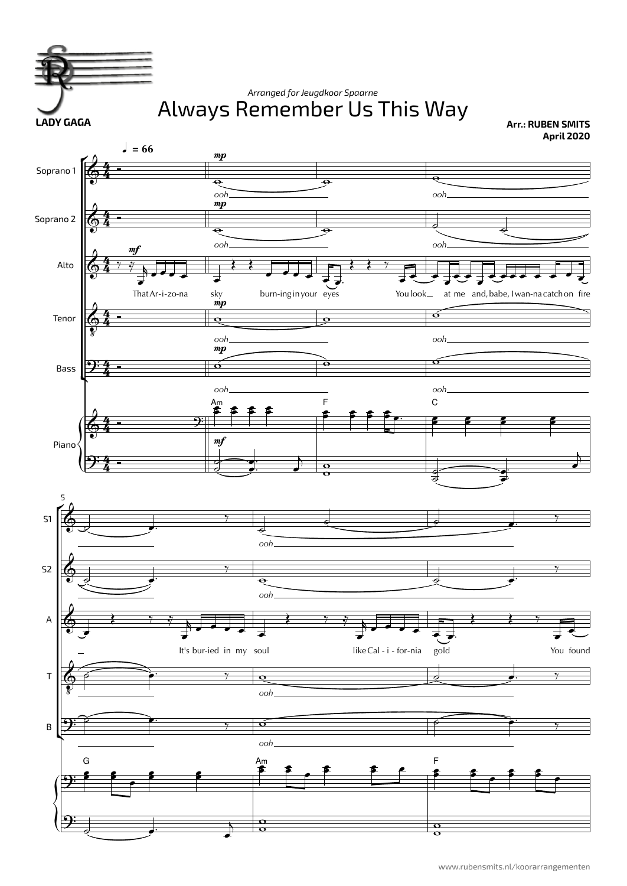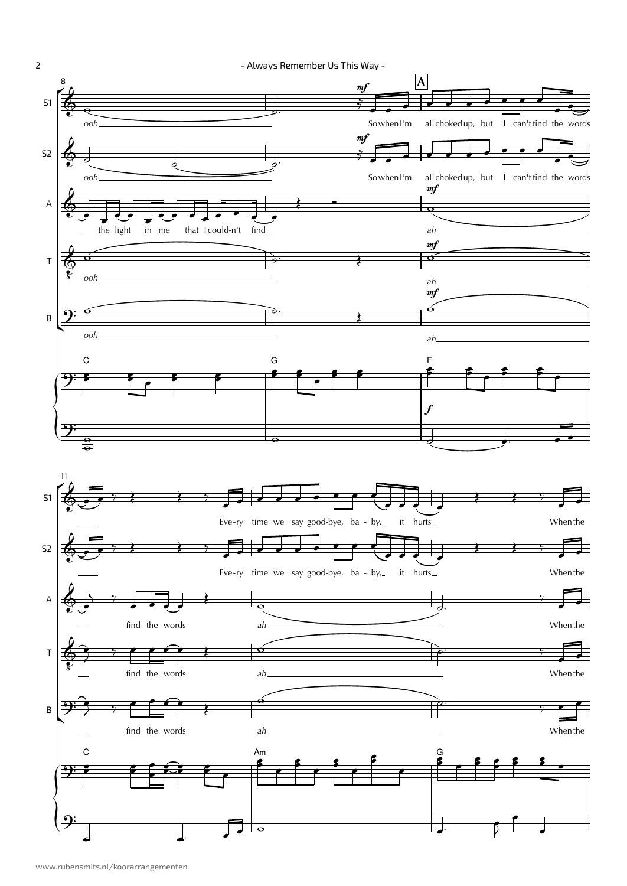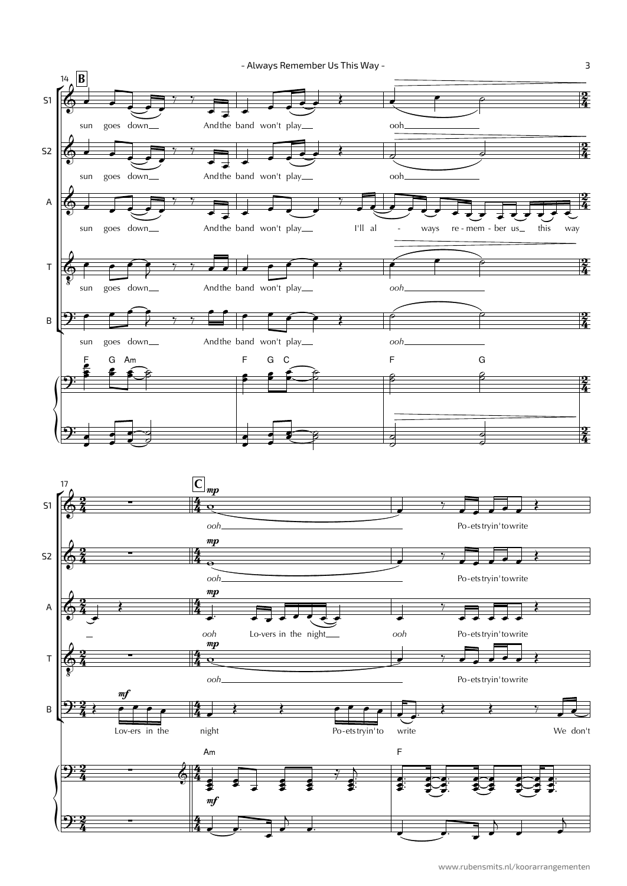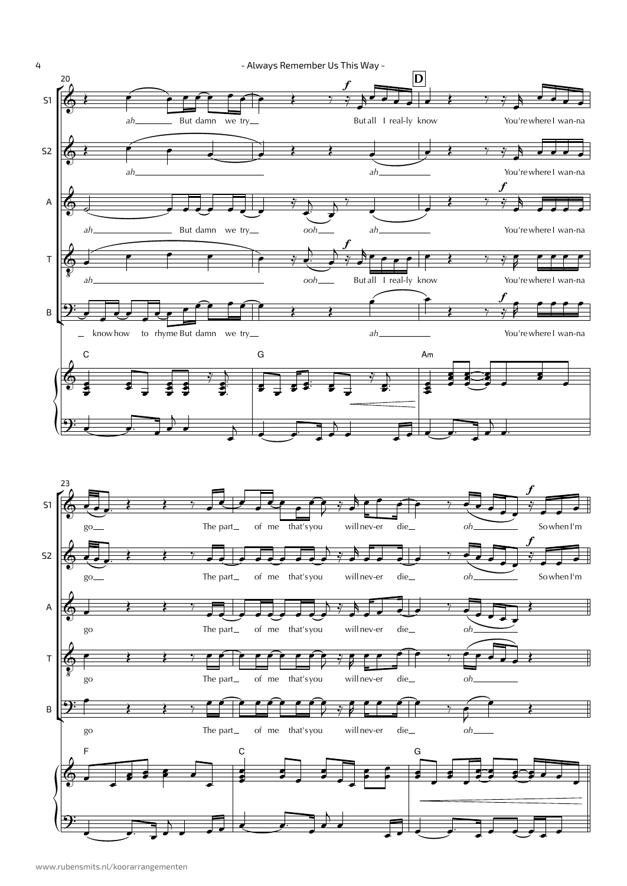